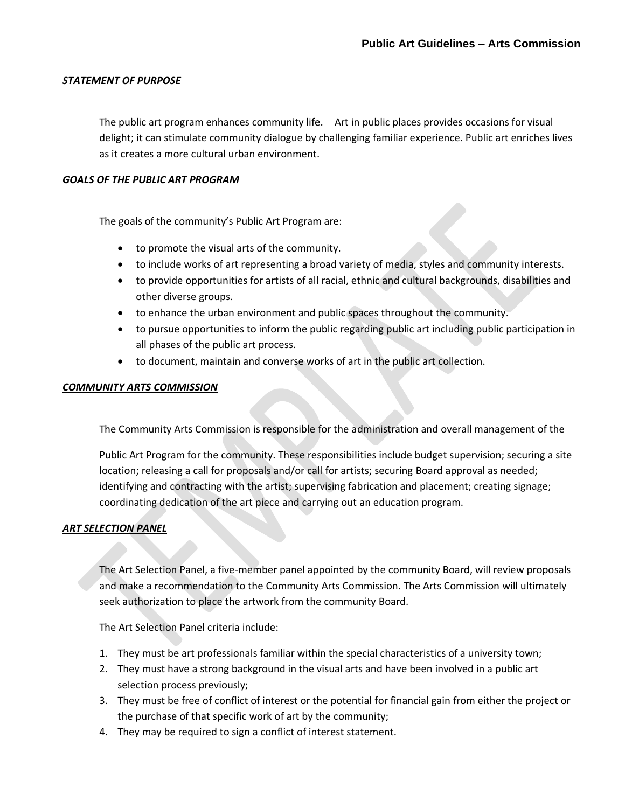# *STATEMENT OF PURPOSE*

The public art program enhances community life. Art in public places provides occasions for visual delight; it can stimulate community dialogue by challenging familiar experience. Public art enriches lives as it creates a more cultural urban environment.

### *GOALS OF THE PUBLIC ART PROGRAM*

The goals of the community's Public Art Program are:

- to promote the visual arts of the community.
- to include works of art representing a broad variety of media, styles and community interests.
- to provide opportunities for artists of all racial, ethnic and cultural backgrounds, disabilities and other diverse groups.
- to enhance the urban environment and public spaces throughout the community.
- to pursue opportunities to inform the public regarding public art including public participation in all phases of the public art process.
- to document, maintain and converse works of art in the public art collection.

### *COMMUNITY ARTS COMMISSION*

The Community Arts Commission is responsible for the administration and overall management of the

Public Art Program for the community. These responsibilities include budget supervision; securing a site location; releasing a call for proposals and/or call for artists; securing Board approval as needed; identifying and contracting with the artist; supervising fabrication and placement; creating signage; coordinating dedication of the art piece and carrying out an education program.

# *ART SELECTION PANEL*

The Art Selection Panel, a five-member panel appointed by the community Board, will review proposals and make a recommendation to the Community Arts Commission. The Arts Commission will ultimately seek authorization to place the artwork from the community Board.

The Art Selection Panel criteria include:

- 1. They must be art professionals familiar within the special characteristics of a university town;
- 2. They must have a strong background in the visual arts and have been involved in a public art selection process previously;
- 3. They must be free of conflict of interest or the potential for financial gain from either the project or the purchase of that specific work of art by the community;
- 4. They may be required to sign a conflict of interest statement.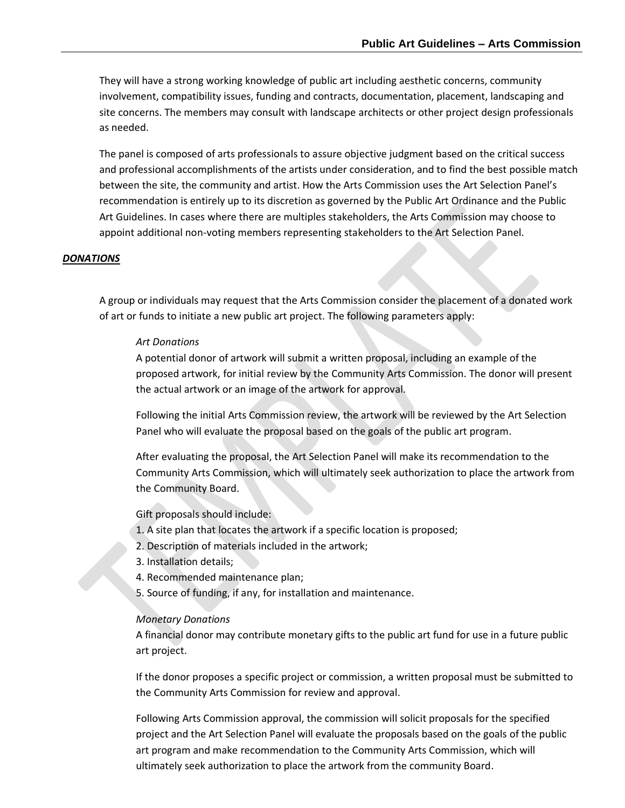They will have a strong working knowledge of public art including aesthetic concerns, community involvement, compatibility issues, funding and contracts, documentation, placement, landscaping and site concerns. The members may consult with landscape architects or other project design professionals as needed.

The panel is composed of arts professionals to assure objective judgment based on the critical success and professional accomplishments of the artists under consideration, and to find the best possible match between the site, the community and artist. How the Arts Commission uses the Art Selection Panel's recommendation is entirely up to its discretion as governed by the Public Art Ordinance and the Public Art Guidelines. In cases where there are multiples stakeholders, the Arts Commission may choose to appoint additional non-voting members representing stakeholders to the Art Selection Panel.

#### *DONATIONS*

A group or individuals may request that the Arts Commission consider the placement of a donated work of art or funds to initiate a new public art project. The following parameters apply:

#### *Art Donations*

A potential donor of artwork will submit a written proposal, including an example of the proposed artwork, for initial review by the Community Arts Commission. The donor will present the actual artwork or an image of the artwork for approval.

Following the initial Arts Commission review, the artwork will be reviewed by the Art Selection Panel who will evaluate the proposal based on the goals of the public art program.

After evaluating the proposal, the Art Selection Panel will make its recommendation to the Community Arts Commission, which will ultimately seek authorization to place the artwork from the Community Board.

Gift proposals should include:

- 1. A site plan that locates the artwork if a specific location is proposed;
- 2. Description of materials included in the artwork;
- 3. Installation details;
- 4. Recommended maintenance plan;
- 5. Source of funding, if any, for installation and maintenance.

#### *Monetary Donations*

A financial donor may contribute monetary gifts to the public art fund for use in a future public art project.

If the donor proposes a specific project or commission, a written proposal must be submitted to the Community Arts Commission for review and approval.

Following Arts Commission approval, the commission will solicit proposals for the specified project and the Art Selection Panel will evaluate the proposals based on the goals of the public art program and make recommendation to the Community Arts Commission, which will ultimately seek authorization to place the artwork from the community Board.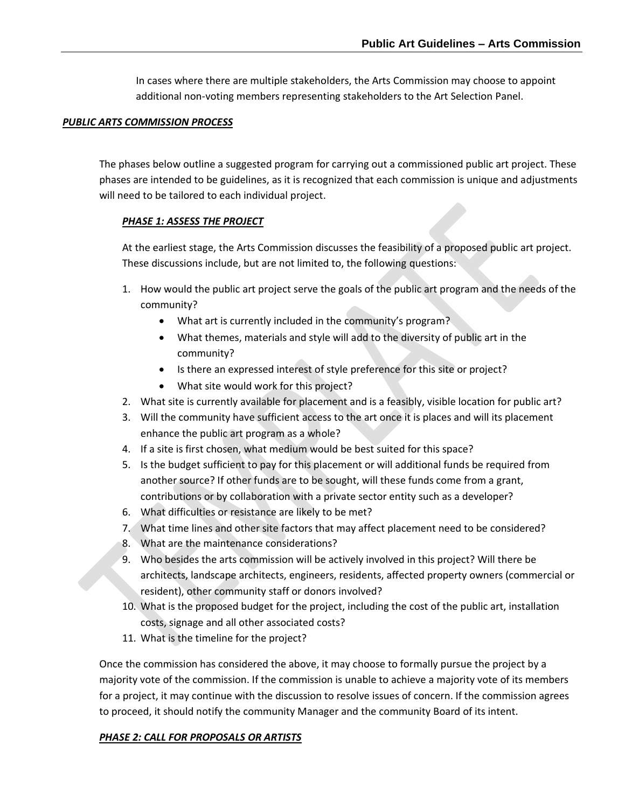In cases where there are multiple stakeholders, the Arts Commission may choose to appoint additional non-voting members representing stakeholders to the Art Selection Panel.

### *PUBLIC ARTS COMMISSION PROCESS*

The phases below outline a suggested program for carrying out a commissioned public art project. These phases are intended to be guidelines, as it is recognized that each commission is unique and adjustments will need to be tailored to each individual project.

# *PHASE 1: ASSESS THE PROJECT*

At the earliest stage, the Arts Commission discusses the feasibility of a proposed public art project. These discussions include, but are not limited to, the following questions:

- 1. How would the public art project serve the goals of the public art program and the needs of the community?
	- What art is currently included in the community's program?
	- What themes, materials and style will add to the diversity of public art in the community?
	- Is there an expressed interest of style preference for this site or project?
	- What site would work for this project?
- 2. What site is currently available for placement and is a feasibly, visible location for public art?
- 3. Will the community have sufficient access to the art once it is places and will its placement enhance the public art program as a whole?
- 4. If a site is first chosen, what medium would be best suited for this space?
- 5. Is the budget sufficient to pay for this placement or will additional funds be required from another source? If other funds are to be sought, will these funds come from a grant, contributions or by collaboration with a private sector entity such as a developer?
- 6. What difficulties or resistance are likely to be met?
- 7. What time lines and other site factors that may affect placement need to be considered?
- 8. What are the maintenance considerations?
- 9. Who besides the arts commission will be actively involved in this project? Will there be architects, landscape architects, engineers, residents, affected property owners (commercial or resident), other community staff or donors involved?
- 10. What is the proposed budget for the project, including the cost of the public art, installation costs, signage and all other associated costs?
- 11. What is the timeline for the project?

Once the commission has considered the above, it may choose to formally pursue the project by a majority vote of the commission. If the commission is unable to achieve a majority vote of its members for a project, it may continue with the discussion to resolve issues of concern. If the commission agrees to proceed, it should notify the community Manager and the community Board of its intent.

# *PHASE 2: CALL FOR PROPOSALS OR ARTISTS*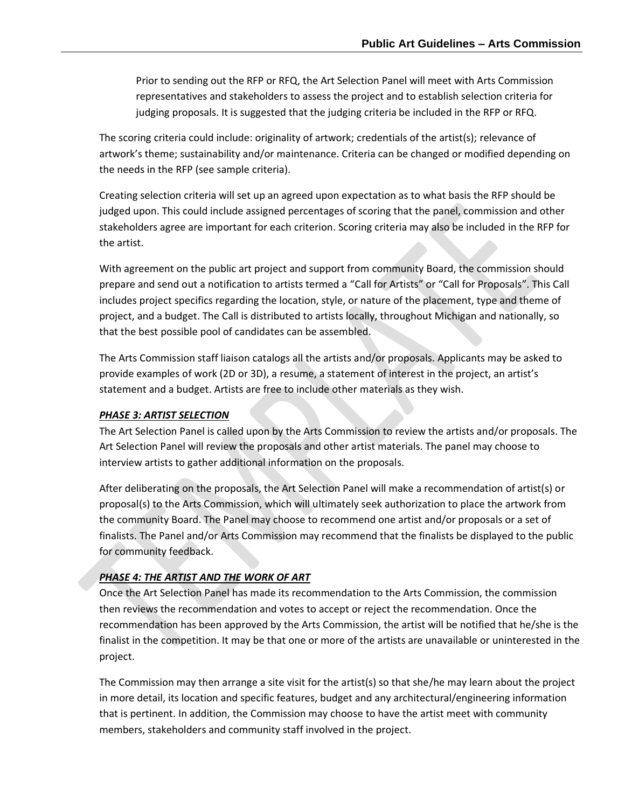Prior to sending out the RFP or RFQ, the Art Selection Panel will meet with Arts Commission representatives and stakeholders to assess the project and to establish selection criteria for judging proposals. It is suggested that the judging criteria be included in the RFP or RFQ.

The scoring criteria could include: originality of artwork; credentials of the artist(s); relevance of artwork's theme; sustainability and/or maintenance. Criteria can be changed or modified depending on the needs in the RFP (see sample criteria).

Creating selection criteria will set up an agreed upon expectation as to what basis the RFP should be judged upon. This could include assigned percentages of scoring that the panel, commission and other stakeholders agree are important for each criterion. Scoring criteria may also be included in the RFP for the artist.

With agreement on the public art project and support from community Board, the commission should prepare and send out a notification to artists termed a "Call for Artists" or "Call for Proposals". This Call includes project specifics regarding the location, style, or nature of the placement, type and theme of project, and a budget. The Call is distributed to artists locally, throughout Michigan and nationally, so that the best possible pool of candidates can be assembled.

The Arts Commission staff liaison catalogs all the artists and/or proposals. Applicants may be asked to provide examples of work (2D or 3D), a resume, a statement of interest in the project, an artist's statement and a budget. Artists are free to include other materials as they wish.

#### *PHASE 3: ARTIST SELECTION*

The Art Selection Panel is called upon by the Arts Commission to review the artists and/or proposals. The Art Selection Panel will review the proposals and other artist materials. The panel may choose to interview artists to gather additional information on the proposals.

After deliberating on the proposals, the Art Selection Panel will make a recommendation of artist(s) or proposal(s) to the Arts Commission, which will ultimately seek authorization to place the artwork from the community Board. The Panel may choose to recommend one artist and/or proposals or a set of finalists. The Panel and/or Arts Commission may recommend that the finalists be displayed to the public for community feedback.

# *PHASE 4: THE ARTIST AND THE WORK OF ART*

Once the Art Selection Panel has made its recommendation to the Arts Commission, the commission then reviews the recommendation and votes to accept or reject the recommendation. Once the recommendation has been approved by the Arts Commission, the artist will be notified that he/she is the finalist in the competition. It may be that one or more of the artists are unavailable or uninterested in the project.

The Commission may then arrange a site visit for the artist(s) so that she/he may learn about the project in more detail, its location and specific features, budget and any architectural/engineering information that is pertinent. In addition, the Commission may choose to have the artist meet with community members, stakeholders and community staff involved in the project.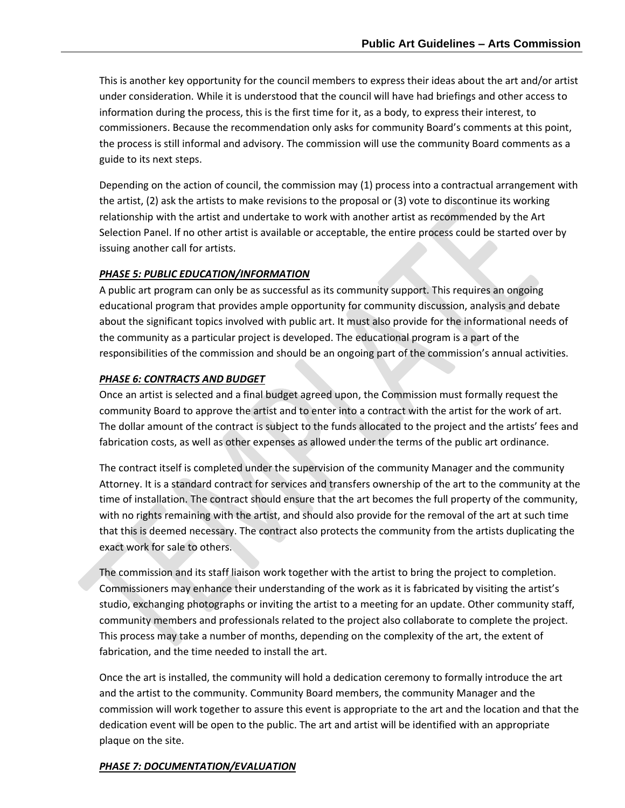This is another key opportunity for the council members to express their ideas about the art and/or artist under consideration. While it is understood that the council will have had briefings and other access to information during the process, this is the first time for it, as a body, to express their interest, to commissioners. Because the recommendation only asks for community Board's comments at this point, the process is still informal and advisory. The commission will use the community Board comments as a guide to its next steps.

Depending on the action of council, the commission may (1) process into a contractual arrangement with the artist, (2) ask the artists to make revisions to the proposal or (3) vote to discontinue its working relationship with the artist and undertake to work with another artist as recommended by the Art Selection Panel. If no other artist is available or acceptable, the entire process could be started over by issuing another call for artists.

# *PHASE 5: PUBLIC EDUCATION/INFORMATION*

A public art program can only be as successful as its community support. This requires an ongoing educational program that provides ample opportunity for community discussion, analysis and debate about the significant topics involved with public art. It must also provide for the informational needs of the community as a particular project is developed. The educational program is a part of the responsibilities of the commission and should be an ongoing part of the commission's annual activities.

### *PHASE 6: CONTRACTS AND BUDGET*

Once an artist is selected and a final budget agreed upon, the Commission must formally request the community Board to approve the artist and to enter into a contract with the artist for the work of art. The dollar amount of the contract is subject to the funds allocated to the project and the artists' fees and fabrication costs, as well as other expenses as allowed under the terms of the public art ordinance.

The contract itself is completed under the supervision of the community Manager and the community Attorney. It is a standard contract for services and transfers ownership of the art to the community at the time of installation. The contract should ensure that the art becomes the full property of the community, with no rights remaining with the artist, and should also provide for the removal of the art at such time that this is deemed necessary. The contract also protects the community from the artists duplicating the exact work for sale to others.

The commission and its staff liaison work together with the artist to bring the project to completion. Commissioners may enhance their understanding of the work as it is fabricated by visiting the artist's studio, exchanging photographs or inviting the artist to a meeting for an update. Other community staff, community members and professionals related to the project also collaborate to complete the project. This process may take a number of months, depending on the complexity of the art, the extent of fabrication, and the time needed to install the art.

Once the art is installed, the community will hold a dedication ceremony to formally introduce the art and the artist to the community. Community Board members, the community Manager and the commission will work together to assure this event is appropriate to the art and the location and that the dedication event will be open to the public. The art and artist will be identified with an appropriate plaque on the site.

#### *PHASE 7: DOCUMENTATION/EVALUATION*